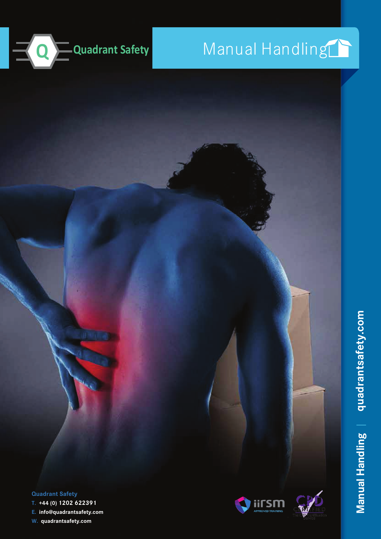

# Manual Handling

**Quadrant Safety**

**T. +44 (0) 1202 622391**

**E. info@quadrantsafety.com W. quadrantsafety.com**